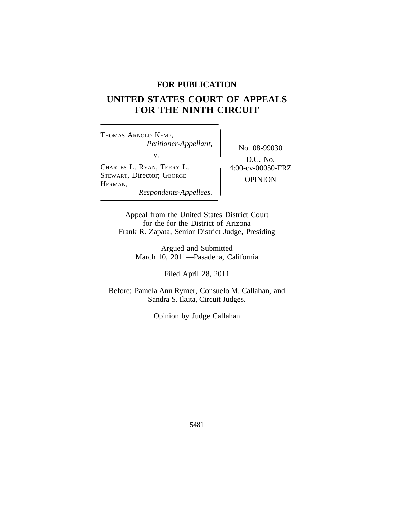## **FOR PUBLICATION**

# **UNITED STATES COURT OF APPEALS FOR THE NINTH CIRCUIT**

<sup>T</sup>HOMAS ARNOLD KEMP, *Petitioner-Appellant,* No. 08-99030<br>v. <sup>C</sup>HARLES L. RYAN, TERRY L. 4:00-cv-00050-FRZ STEWART, Director; GEORGE OPINION<br>HERMAN, *Respondents-Appellees.*

D.C. No.

Appeal from the United States District Court for the for the District of Arizona Frank R. Zapata, Senior District Judge, Presiding

> Argued and Submitted March 10, 2011—Pasadena, California

> > Filed April 28, 2011

Before: Pamela Ann Rymer, Consuelo M. Callahan, and Sandra S. Ikuta, Circuit Judges.

Opinion by Judge Callahan

5481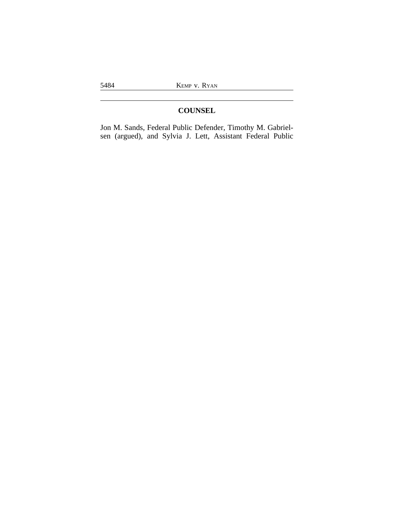## **COUNSEL**

Jon M. Sands, Federal Public Defender, Timothy M. Gabrielsen (argued), and Sylvia J. Lett, Assistant Federal Public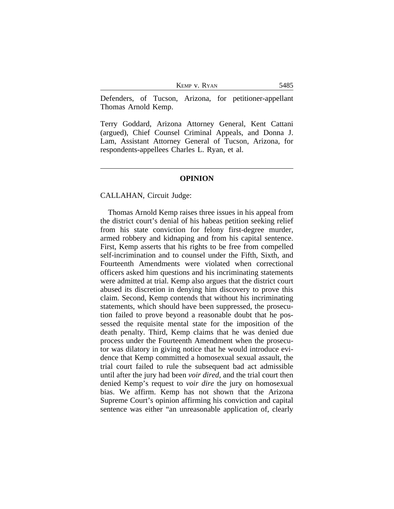KEMP V. RYAN 5485

Defenders, of Tucson, Arizona, for petitioner-appellant Thomas Arnold Kemp.

Terry Goddard, Arizona Attorney General, Kent Cattani (argued), Chief Counsel Criminal Appeals, and Donna J. Lam, Assistant Attorney General of Tucson, Arizona, for respondents-appellees Charles L. Ryan, et al.

#### **OPINION**

#### CALLAHAN, Circuit Judge:

Thomas Arnold Kemp raises three issues in his appeal from the district court's denial of his habeas petition seeking relief from his state conviction for felony first-degree murder, armed robbery and kidnaping and from his capital sentence. First, Kemp asserts that his rights to be free from compelled self-incrimination and to counsel under the Fifth, Sixth, and Fourteenth Amendments were violated when correctional officers asked him questions and his incriminating statements were admitted at trial. Kemp also argues that the district court abused its discretion in denying him discovery to prove this claim. Second, Kemp contends that without his incriminating statements, which should have been suppressed, the prosecution failed to prove beyond a reasonable doubt that he possessed the requisite mental state for the imposition of the death penalty. Third, Kemp claims that he was denied due process under the Fourteenth Amendment when the prosecutor was dilatory in giving notice that he would introduce evidence that Kemp committed a homosexual sexual assault, the trial court failed to rule the subsequent bad act admissible until after the jury had been *voir dired*, and the trial court then denied Kemp's request to *voir dire* the jury on homosexual bias. We affirm. Kemp has not shown that the Arizona Supreme Court's opinion affirming his conviction and capital sentence was either "an unreasonable application of, clearly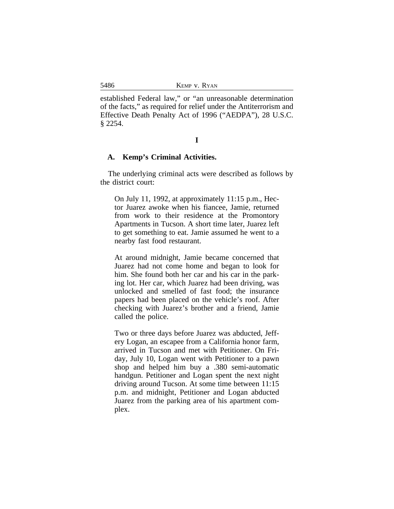established Federal law," or "an unreasonable determination of the facts," as required for relief under the Antiterrorism and Effective Death Penalty Act of 1996 ("AEDPA"), 28 U.S.C. § 2254.

#### **I**

#### **A. Kemp's Criminal Activities.**

The underlying criminal acts were described as follows by the district court:

On July 11, 1992, at approximately 11:15 p.m., Hector Juarez awoke when his fiancee, Jamie, returned from work to their residence at the Promontory Apartments in Tucson. A short time later, Juarez left to get something to eat. Jamie assumed he went to a nearby fast food restaurant.

At around midnight, Jamie became concerned that Juarez had not come home and began to look for him. She found both her car and his car in the parking lot. Her car, which Juarez had been driving, was unlocked and smelled of fast food; the insurance papers had been placed on the vehicle's roof. After checking with Juarez's brother and a friend, Jamie called the police.

Two or three days before Juarez was abducted, Jeffery Logan, an escapee from a California honor farm, arrived in Tucson and met with Petitioner. On Friday, July 10, Logan went with Petitioner to a pawn shop and helped him buy a .380 semi-automatic handgun. Petitioner and Logan spent the next night driving around Tucson. At some time between 11:15 p.m. and midnight, Petitioner and Logan abducted Juarez from the parking area of his apartment complex.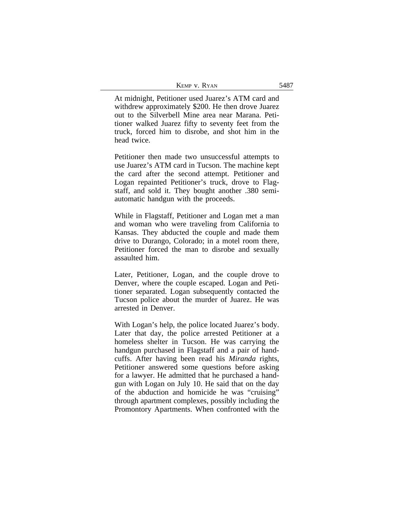| KEMP V. RYAN |  | 5487 |
|--------------|--|------|
|--------------|--|------|

At midnight, Petitioner used Juarez's ATM card and withdrew approximately \$200. He then drove Juarez out to the Silverbell Mine area near Marana. Petitioner walked Juarez fifty to seventy feet from the truck, forced him to disrobe, and shot him in the head twice.

Petitioner then made two unsuccessful attempts to use Juarez's ATM card in Tucson. The machine kept the card after the second attempt. Petitioner and Logan repainted Petitioner's truck, drove to Flagstaff, and sold it. They bought another .380 semiautomatic handgun with the proceeds.

While in Flagstaff, Petitioner and Logan met a man and woman who were traveling from California to Kansas. They abducted the couple and made them drive to Durango, Colorado; in a motel room there, Petitioner forced the man to disrobe and sexually assaulted him.

Later, Petitioner, Logan, and the couple drove to Denver, where the couple escaped. Logan and Petitioner separated. Logan subsequently contacted the Tucson police about the murder of Juarez. He was arrested in Denver.

With Logan's help, the police located Juarez's body. Later that day, the police arrested Petitioner at a homeless shelter in Tucson. He was carrying the handgun purchased in Flagstaff and a pair of handcuffs. After having been read his *Miranda* rights, Petitioner answered some questions before asking for a lawyer. He admitted that he purchased a handgun with Logan on July 10. He said that on the day of the abduction and homicide he was "cruising" through apartment complexes, possibly including the Promontory Apartments. When confronted with the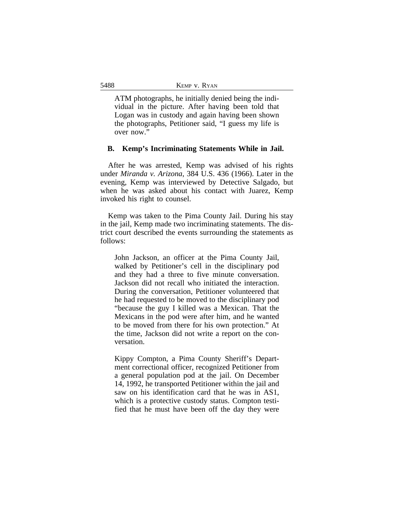ATM photographs, he initially denied being the individual in the picture. After having been told that Logan was in custody and again having been shown the photographs, Petitioner said, "I guess my life is over now."

#### **B. Kemp's Incriminating Statements While in Jail.**

After he was arrested, Kemp was advised of his rights under *Miranda v. Arizona*, 384 U.S. 436 (1966). Later in the evening, Kemp was interviewed by Detective Salgado, but when he was asked about his contact with Juarez, Kemp invoked his right to counsel.

Kemp was taken to the Pima County Jail. During his stay in the jail, Kemp made two incriminating statements. The district court described the events surrounding the statements as follows:

John Jackson, an officer at the Pima County Jail, walked by Petitioner's cell in the disciplinary pod and they had a three to five minute conversation. Jackson did not recall who initiated the interaction. During the conversation, Petitioner volunteered that he had requested to be moved to the disciplinary pod "because the guy I killed was a Mexican. That the Mexicans in the pod were after him, and he wanted to be moved from there for his own protection." At the time, Jackson did not write a report on the conversation.

Kippy Compton, a Pima County Sheriff's Department correctional officer, recognized Petitioner from a general population pod at the jail. On December 14, 1992, he transported Petitioner within the jail and saw on his identification card that he was in AS1, which is a protective custody status. Compton testified that he must have been off the day they were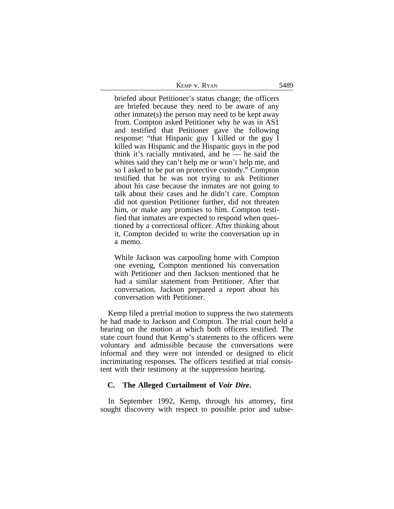| Kemp v. Ryan | 5489 |
|--------------|------|
|--------------|------|

briefed about Petitioner's status change; the officers are briefed because they need to be aware of any other inmate(s) the person may need to be kept away from. Compton asked Petitioner why he was in AS1 and testified that Petitioner gave the following response: "that Hispanic guy I killed or the guy I killed was Hispanic and the Hispanic guys in the pod think it's racially motivated, and he  $-$  he said the whites said they can't help me or won't help me, and so I asked to be put on protective custody." Compton testified that he was not trying to ask Petitioner about his case because the inmates are not going to talk about their cases and he didn't care. Compton did not question Petitioner further, did not threaten him, or make any promises to him. Compton testified that inmates are expected to respond when questioned by a correctional officer. After thinking about it, Compton decided to write the conversation up in a memo.

While Jackson was carpooling home with Compton one evening, Compton mentioned his conversation with Petitioner and then Jackson mentioned that he had a similar statement from Petitioner. After that conversation, Jackson prepared a report about his conversation with Petitioner.

Kemp filed a pretrial motion to suppress the two statements he had made to Jackson and Compton. The trial court held a hearing on the motion at which both officers testified. The state court found that Kemp's statements to the officers were voluntary and admissible because the conversations were informal and they were not intended or designed to elicit incriminating responses. The officers testified at trial consistent with their testimony at the suppression hearing.

#### **C. The Alleged Curtailment of** *Voir Dire***.**

In September 1992, Kemp, through his attorney, first sought discovery with respect to possible prior and subse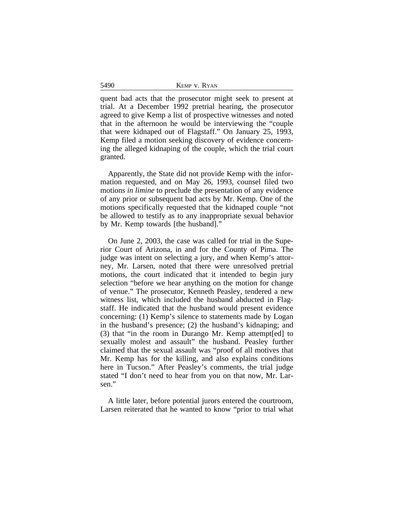5490 **KEMP V. RYAN** 

quent bad acts that the prosecutor might seek to present at trial. At a December 1992 pretrial hearing, the prosecutor agreed to give Kemp a list of prospective witnesses and noted that in the afternoon he would be interviewing the "couple that were kidnaped out of Flagstaff." On January 25, 1993, Kemp filed a motion seeking discovery of evidence concerning the alleged kidnaping of the couple, which the trial court granted.

Apparently, the State did not provide Kemp with the information requested, and on May 26, 1993, counsel filed two motions *in limine* to preclude the presentation of any evidence of any prior or subsequent bad acts by Mr. Kemp. One of the motions specifically requested that the kidnaped couple "not be allowed to testify as to any inappropriate sexual behavior by Mr. Kemp towards [the husband]."

On June 2, 2003, the case was called for trial in the Superior Court of Arizona, in and for the County of Pima. The judge was intent on selecting a jury, and when Kemp's attorney, Mr. Larsen, noted that there were unresolved pretrial motions, the court indicated that it intended to begin jury selection "before we hear anything on the motion for change of venue." The prosecutor, Kenneth Peasley, tendered a new witness list, which included the husband abducted in Flagstaff. He indicated that the husband would present evidence concerning: (1) Kemp's silence to statements made by Logan in the husband's presence; (2) the husband's kidnaping; and (3) that "in the room in Durango Mr. Kemp attempt[ed] to sexually molest and assault" the husband. Peasley further claimed that the sexual assault was "proof of all motives that Mr. Kemp has for the killing, and also explains conditions here in Tucson." After Peasley's comments, the trial judge stated "I don't need to hear from you on that now, Mr. Larsen."

A little later, before potential jurors entered the courtroom, Larsen reiterated that he wanted to know "prior to trial what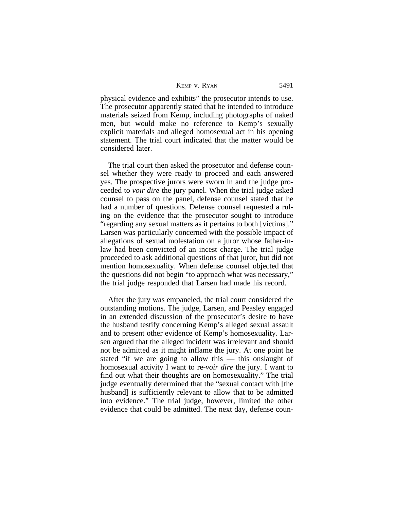|  | Kemp v. Ryan |  |
|--|--------------|--|
|  |              |  |

physical evidence and exhibits" the prosecutor intends to use. The prosecutor apparently stated that he intended to introduce materials seized from Kemp, including photographs of naked men, but would make no reference to Kemp's sexually explicit materials and alleged homosexual act in his opening statement. The trial court indicated that the matter would be considered later.

The trial court then asked the prosecutor and defense counsel whether they were ready to proceed and each answered yes. The prospective jurors were sworn in and the judge proceeded to *voir dire* the jury panel. When the trial judge asked counsel to pass on the panel, defense counsel stated that he had a number of questions. Defense counsel requested a ruling on the evidence that the prosecutor sought to introduce "regarding any sexual matters as it pertains to both [victims]." Larsen was particularly concerned with the possible impact of allegations of sexual molestation on a juror whose father-inlaw had been convicted of an incest charge. The trial judge proceeded to ask additional questions of that juror, but did not mention homosexuality. When defense counsel objected that the questions did not begin "to approach what was necessary," the trial judge responded that Larsen had made his record.

After the jury was empaneled, the trial court considered the outstanding motions. The judge, Larsen, and Peasley engaged in an extended discussion of the prosecutor's desire to have the husband testify concerning Kemp's alleged sexual assault and to present other evidence of Kemp's homosexuality. Larsen argued that the alleged incident was irrelevant and should not be admitted as it might inflame the jury. At one point he stated "if we are going to allow this — this onslaught of homosexual activity I want to re-*voir dire* the jury. I want to find out what their thoughts are on homosexuality." The trial judge eventually determined that the "sexual contact with [the husband] is sufficiently relevant to allow that to be admitted into evidence." The trial judge, however, limited the other evidence that could be admitted. The next day, defense coun-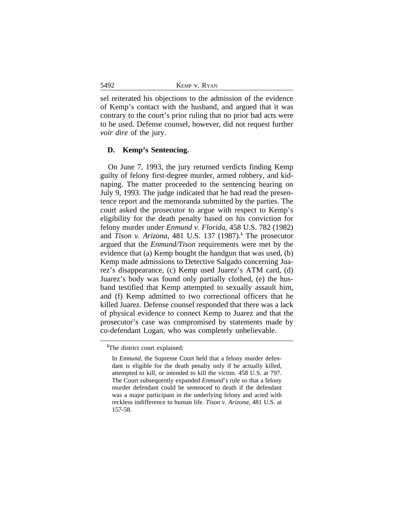| KEMP V. RYAN |  |  |
|--------------|--|--|
|--------------|--|--|

sel reiterated his objections to the admission of the evidence of Kemp's contact with the husband, and argued that it was contrary to the court's prior ruling that no prior bad acts were to be used. Defense counsel, however, did not request further *voir dire* of the jury.

#### **D. Kemp's Sentencing.**

On June 7, 1993, the jury returned verdicts finding Kemp guilty of felony first-degree murder, armed robbery, and kidnaping. The matter proceeded to the sentencing hearing on July 9, 1993. The judge indicated that he had read the presentence report and the memoranda submitted by the parties. The court asked the prosecutor to argue with respect to Kemp's eligibility for the death penalty based on his conviction for felony murder under *Enmund v. Florida*, 458 U.S. 782 (1982) and *Tison v. Arizona*, 481 U.S. 137 (1987).**<sup>1</sup>** The prosecutor argued that the *Enmund/Tison* requirements were met by the evidence that (a) Kemp bought the handgun that was used, (b) Kemp made admissions to Detective Salgado concerning Juarez's disappearance, (c) Kemp used Juarez's ATM card, (d) Juarez's body was found only partially clothed, (e) the husband testified that Kemp attempted to sexually assault him, and (f) Kemp admitted to two correctional officers that he killed Juarez. Defense counsel responded that there was a lack of physical evidence to connect Kemp to Juarez and that the prosecutor's case was compromised by statements made by co-defendant Logan, who was completely unbelievable.

5492

**<sup>1</sup>**The district court explained:

In *Enmund*, the Supreme Court held that a felony murder defendant is eligible for the death penalty only if he actually killed, attempted to kill, or intended to kill the victim. 458 U.S. at 797. The Court subsequently expanded *Enmund*'s rule so that a felony murder defendant could be sentenced to death if the defendant was a major participant in the underlying felony and acted with reckless indifference to human life. *Tison v. Arizona*, 481 U.S. at 157-58.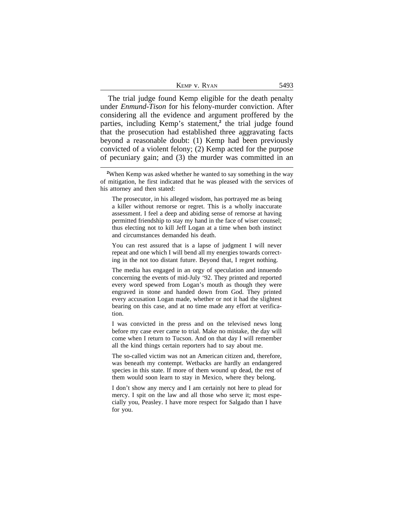| KEMP V. RYAN |  |
|--------------|--|
|--------------|--|

The trial judge found Kemp eligible for the death penalty under *Enmund-Tison* for his felony-murder conviction. After considering all the evidence and argument proffered by the parties, including Kemp's statement,**<sup>2</sup>** the trial judge found that the prosecution had established three aggravating facts beyond a reasonable doubt: (1) Kemp had been previously convicted of a violent felony; (2) Kemp acted for the purpose of pecuniary gain; and (3) the murder was committed in an

The prosecutor, in his alleged wisdom, has portrayed me as being a killer without remorse or regret. This is a wholly inaccurate assessment. I feel a deep and abiding sense of remorse at having permitted friendship to stay my hand in the face of wiser counsel; thus electing not to kill Jeff Logan at a time when both instinct and circumstances demanded his death.

You can rest assured that is a lapse of judgment I will never repeat and one which I will bend all my energies towards correcting in the not too distant future. Beyond that, I regret nothing.

The media has engaged in an orgy of speculation and innuendo concerning the events of mid-July '92. They printed and reported every word spewed from Logan's mouth as though they were engraved in stone and handed down from God. They printed every accusation Logan made, whether or not it had the slightest bearing on this case, and at no time made any effort at verification.

I was convicted in the press and on the televised news long before my case ever came to trial. Make no mistake, the day will come when I return to Tucson. And on that day I will remember all the kind things certain reporters had to say about me.

The so-called victim was not an American citizen and, therefore, was beneath my contempt. Wetbacks are hardly an endangered species in this state. If more of them wound up dead, the rest of them would soon learn to stay in Mexico, where they belong.

I don't show any mercy and I am certainly not here to plead for mercy. I spit on the law and all those who serve it; most especially you, Peasley. I have more respect for Salgado than I have for you.

**<sup>2</sup>**When Kemp was asked whether he wanted to say something in the way of mitigation, he first indicated that he was pleased with the services of his attorney and then stated: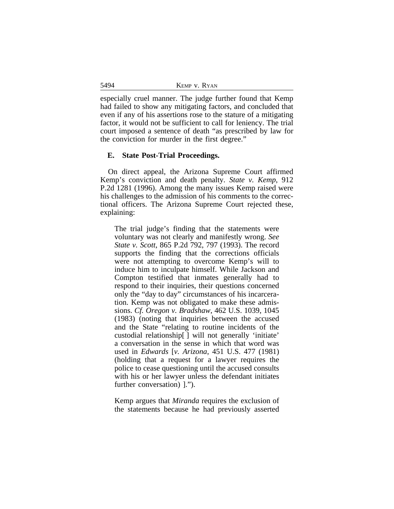5494 KEMP v. RYAN

especially cruel manner. The judge further found that Kemp had failed to show any mitigating factors, and concluded that even if any of his assertions rose to the stature of a mitigating factor, it would not be sufficient to call for leniency. The trial court imposed a sentence of death "as prescribed by law for the conviction for murder in the first degree."

#### **E. State Post-Trial Proceedings.**

On direct appeal, the Arizona Supreme Court affirmed Kemp's conviction and death penalty. *State v. Kemp*, 912 P.2d 1281 (1996). Among the many issues Kemp raised were his challenges to the admission of his comments to the correctional officers. The Arizona Supreme Court rejected these, explaining:

The trial judge's finding that the statements were voluntary was not clearly and manifestly wrong. *See State v. Scott*, 865 P.2d 792, 797 (1993). The record supports the finding that the corrections officials were not attempting to overcome Kemp's will to induce him to inculpate himself. While Jackson and Compton testified that inmates generally had to respond to their inquiries, their questions concerned only the "day to day" circumstances of his incarceration. Kemp was not obligated to make these admissions. *Cf. Oregon v. Bradshaw*, 462 U.S. 1039, 1045 (1983) (noting that inquiries between the accused and the State "relating to routine incidents of the custodial relationship[ ] will not generally 'initiate' a conversation in the sense in which that word was used in *Edwards* [*v. Arizona*, 451 U.S. 477 (1981) (holding that a request for a lawyer requires the police to cease questioning until the accused consults with his or her lawyer unless the defendant initiates further conversation) ].").

Kemp argues that *Miranda* requires the exclusion of the statements because he had previously asserted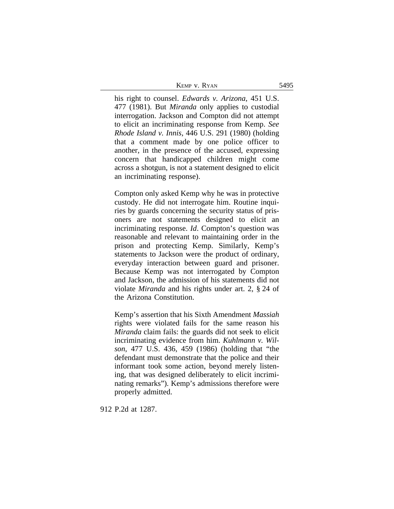| KEMP V. RYAN | 5495 |
|--------------|------|
|--------------|------|

his right to counsel. *Edwards v. Arizona*, 451 U.S. 477 (1981). But *Miranda* only applies to custodial interrogation. Jackson and Compton did not attempt to elicit an incriminating response from Kemp. *See Rhode Island v. Innis*, 446 U.S. 291 (1980) (holding that a comment made by one police officer to another, in the presence of the accused, expressing concern that handicapped children might come across a shotgun, is not a statement designed to elicit an incriminating response).

Compton only asked Kemp why he was in protective custody. He did not interrogate him. Routine inquiries by guards concerning the security status of prisoners are not statements designed to elicit an incriminating response. *Id*. Compton's question was reasonable and relevant to maintaining order in the prison and protecting Kemp. Similarly, Kemp's statements to Jackson were the product of ordinary, everyday interaction between guard and prisoner. Because Kemp was not interrogated by Compton and Jackson, the admission of his statements did not violate *Miranda* and his rights under art. 2, § 24 of the Arizona Constitution.

Kemp's assertion that his Sixth Amendment *Massiah* rights were violated fails for the same reason his *Miranda* claim fails: the guards did not seek to elicit incriminating evidence from him. *Kuhlmann v. Wilson*, 477 U.S. 436, 459 (1986) (holding that "the defendant must demonstrate that the police and their informant took some action, beyond merely listening, that was designed deliberately to elicit incriminating remarks"). Kemp's admissions therefore were properly admitted.

912 P.2d at 1287.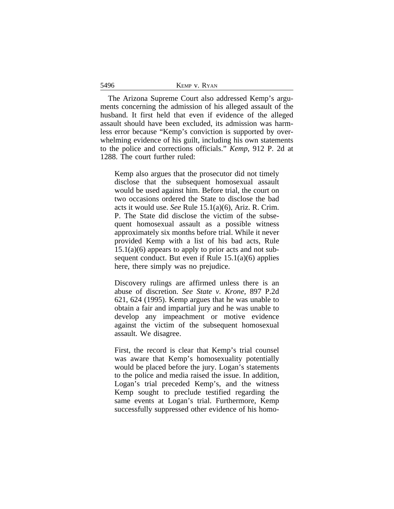| KEMP V. RYAN |  |
|--------------|--|
|--------------|--|

5496

The Arizona Supreme Court also addressed Kemp's arguments concerning the admission of his alleged assault of the husband. It first held that even if evidence of the alleged assault should have been excluded, its admission was harmless error because "Kemp's conviction is supported by overwhelming evidence of his guilt, including his own statements to the police and corrections officials." *Kemp*, 912 P. 2d at 1288. The court further ruled:

Kemp also argues that the prosecutor did not timely disclose that the subsequent homosexual assault would be used against him. Before trial, the court on two occasions ordered the State to disclose the bad acts it would use. *See* Rule 15.1(a)(6), Ariz. R. Crim. P. The State did disclose the victim of the subsequent homosexual assault as a possible witness approximately six months before trial. While it never provided Kemp with a list of his bad acts, Rule  $15.1(a)(6)$  appears to apply to prior acts and not subsequent conduct. But even if Rule  $15.1(a)(6)$  applies here, there simply was no prejudice.

Discovery rulings are affirmed unless there is an abuse of discretion. *See State v. Krone*, 897 P.2d 621, 624 (1995). Kemp argues that he was unable to obtain a fair and impartial jury and he was unable to develop any impeachment or motive evidence against the victim of the subsequent homosexual assault. We disagree.

First, the record is clear that Kemp's trial counsel was aware that Kemp's homosexuality potentially would be placed before the jury. Logan's statements to the police and media raised the issue. In addition, Logan's trial preceded Kemp's, and the witness Kemp sought to preclude testified regarding the same events at Logan's trial. Furthermore, Kemp successfully suppressed other evidence of his homo-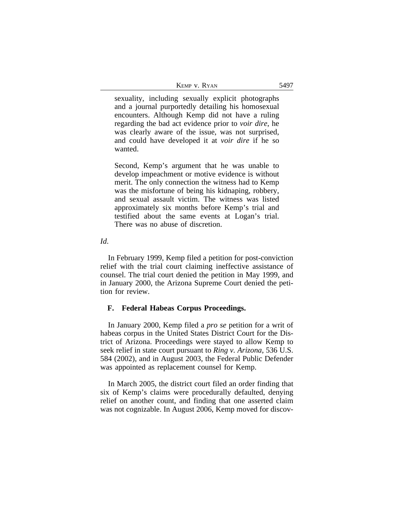| KEMP V. RYAN |  |  |
|--------------|--|--|
|--------------|--|--|

sexuality, including sexually explicit photographs and a journal purportedly detailing his homosexual encounters. Although Kemp did not have a ruling regarding the bad act evidence prior to *voir dire*, he was clearly aware of the issue, was not surprised, and could have developed it at *voir dire* if he so wanted.

Second, Kemp's argument that he was unable to develop impeachment or motive evidence is without merit. The only connection the witness had to Kemp was the misfortune of being his kidnaping, robbery, and sexual assault victim. The witness was listed approximately six months before Kemp's trial and testified about the same events at Logan's trial. There was no abuse of discretion.

#### *Id*.

In February 1999, Kemp filed a petition for post-conviction relief with the trial court claiming ineffective assistance of counsel. The trial court denied the petition in May 1999, and in January 2000, the Arizona Supreme Court denied the petition for review.

#### **F. Federal Habeas Corpus Proceedings.**

In January 2000, Kemp filed a *pro se* petition for a writ of habeas corpus in the United States District Court for the District of Arizona. Proceedings were stayed to allow Kemp to seek relief in state court pursuant to *Ring v. Arizona*, 536 U.S. 584 (2002), and in August 2003, the Federal Public Defender was appointed as replacement counsel for Kemp.

In March 2005, the district court filed an order finding that six of Kemp's claims were procedurally defaulted, denying relief on another count, and finding that one asserted claim was not cognizable. In August 2006, Kemp moved for discov-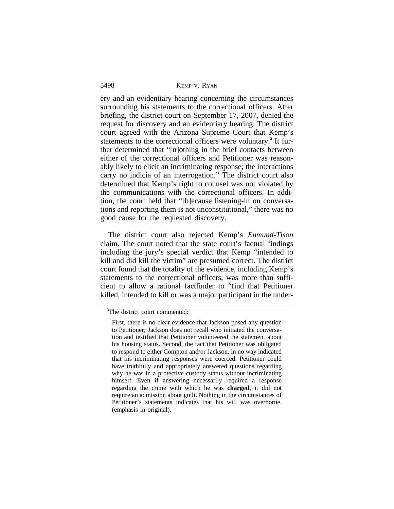|  |  | KEMP V. RYAN |
|--|--|--------------|
|--|--|--------------|

ery and an evidentiary hearing concerning the circumstances surrounding his statements to the correctional officers. After briefing, the district court on September 17, 2007, denied the request for discovery and an evidentiary hearing. The district court agreed with the Arizona Supreme Court that Kemp's statements to the correctional officers were voluntary.**<sup>3</sup>** It further determined that "[n]othing in the brief contacts between either of the correctional officers and Petitioner was reasonably likely to elicit an incriminating response; the interactions carry no indicia of an interrogation." The district court also determined that Kemp's right to counsel was not violated by the communications with the correctional officers. In addition, the court held that "[b]ecause listening-in on conversations and reporting them is not unconstitutional," there was no good cause for the requested discovery.

The district court also rejected Kemp's *Enmund-Tison* claim. The court noted that the state court's factual findings including the jury's special verdict that Kemp "intended to kill and did kill the victim" are presumed correct. The district court found that the totality of the evidence, including Kemp's statements to the correctional officers, was more than sufficient to allow a rational factfinder to "find that Petitioner killed, intended to kill or was a major participant in the under-

5498

**<sup>3</sup>**The district court commented:

First, there is no clear evidence that Jackson posed any question to Petitioner; Jackson does not recall who initiated the conversation and testified that Petitioner volunteered the statement about his housing status. Second, the fact that Petitioner was obligated to respond to either Compton and/or Jackson, in no way indicated that his incriminating responses were coerced. Petitioner could have truthfully and appropriately answered questions regarding why he was in a protective custody status without incriminating himself. Even if answering necessarily required a response regarding the crime with which he was **charged**, it did not require an admission about guilt. Nothing in the circumstances of Petitioner's statements indicates that his will was overborne. (emphasis in original).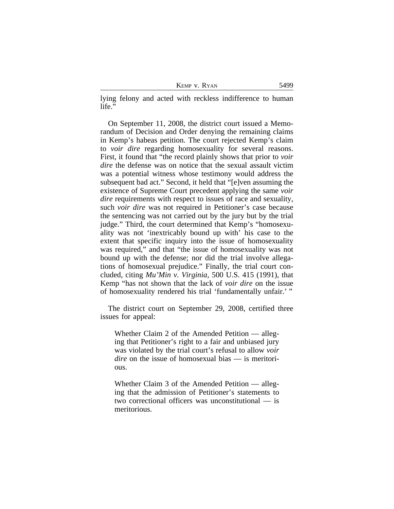KEMP v. RYAN 5499

lying felony and acted with reckless indifference to human life."

On September 11, 2008, the district court issued a Memorandum of Decision and Order denying the remaining claims in Kemp's habeas petition. The court rejected Kemp's claim to *voir dire* regarding homosexuality for several reasons. First, it found that "the record plainly shows that prior to *voir dire* the defense was on notice that the sexual assault victim was a potential witness whose testimony would address the subsequent bad act." Second, it held that "[e]ven assuming the existence of Supreme Court precedent applying the same *voir dire* requirements with respect to issues of race and sexuality, such *voir dire* was not required in Petitioner's case because the sentencing was not carried out by the jury but by the trial judge." Third, the court determined that Kemp's "homosexuality was not 'inextricably bound up with' his case to the extent that specific inquiry into the issue of homosexuality was required," and that "the issue of homosexuality was not bound up with the defense; nor did the trial involve allegations of homosexual prejudice." Finally, the trial court concluded, citing *Mu'Min v. Virginia*, 500 U.S. 415 (1991), that Kemp "has not shown that the lack of *voir dire* on the issue of homosexuality rendered his trial 'fundamentally unfair.' "

The district court on September 29, 2008, certified three issues for appeal:

Whether Claim 2 of the Amended Petition — alleging that Petitioner's right to a fair and unbiased jury was violated by the trial court's refusal to allow *voir dire* on the issue of homosexual bias — is meritorious.

Whether Claim 3 of the Amended Petition — alleging that the admission of Petitioner's statements to two correctional officers was unconstitutional — is meritorious.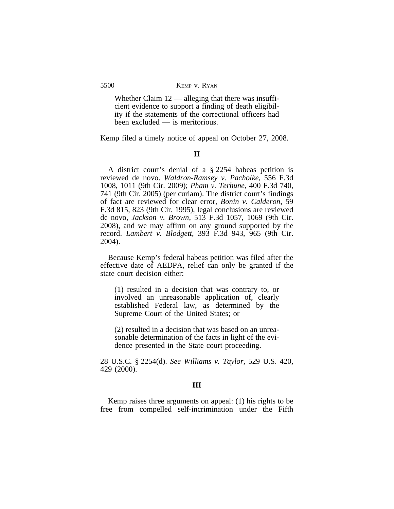Whether Claim  $12$  — alleging that there was insufficient evidence to support a finding of death eligibility if the statements of the correctional officers had been excluded — is meritorious.

Kemp filed a timely notice of appeal on October 27, 2008.

## **II**

A district court's denial of a § 2254 habeas petition is reviewed de novo. *Waldron-Ramsey v. Pacholke*, 556 F.3d 1008, 1011 (9th Cir. 2009); *Pham v. Terhune*, 400 F.3d 740, 741 (9th Cir. 2005) (per curiam). The district court's findings of fact are reviewed for clear error, *Bonin v. Calderon*, 59 F.3d 815, 823 (9th Cir. 1995), legal conclusions are reviewed de novo, *Jackson v. Brown*, 513 F.3d 1057, 1069 (9th Cir. 2008), and we may affirm on any ground supported by the record. *Lambert v. Blodgett*, 393 F.3d 943, 965 (9th Cir. 2004).

Because Kemp's federal habeas petition was filed after the effective date of AEDPA, relief can only be granted if the state court decision either:

(1) resulted in a decision that was contrary to, or involved an unreasonable application of, clearly established Federal law, as determined by the Supreme Court of the United States; or

(2) resulted in a decision that was based on an unreasonable determination of the facts in light of the evidence presented in the State court proceeding.

28 U.S.C. § 2254(d). *See Williams v. Taylor*, 529 U.S. 420, 429 (2000).

#### **III**

Kemp raises three arguments on appeal: (1) his rights to be free from compelled self-incrimination under the Fifth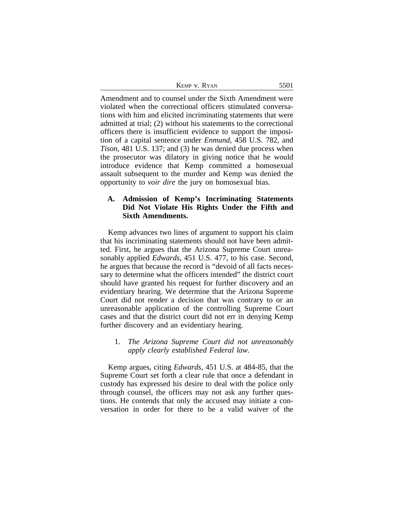| KEMP V. RYAN | 5501 |
|--------------|------|
|--------------|------|

Amendment and to counsel under the Sixth Amendment were violated when the correctional officers stimulated conversations with him and elicited incriminating statements that were admitted at trial; (2) without his statements to the correctional officers there is insufficient evidence to support the imposition of a capital sentence under *Enmund*, 458 U.S. 782, and *Tison*, 481 U.S. 137; and (3) he was denied due process when the prosecutor was dilatory in giving notice that he would introduce evidence that Kemp committed a homosexual assault subsequent to the murder and Kemp was denied the opportunity to *voir dire* the jury on homosexual bias.

## **A. Admission of Kemp's Incriminating Statements Did Not Violate His Rights Under the Fifth and Sixth Amendments.**

Kemp advances two lines of argument to support his claim that his incriminating statements should not have been admitted. First, he argues that the Arizona Supreme Court unreasonably applied *Edwards*, 451 U.S. 477, to his case. Second, he argues that because the record is "devoid of all facts necessary to determine what the officers intended" the district court should have granted his request for further discovery and an evidentiary hearing. We determine that the Arizona Supreme Court did not render a decision that was contrary to or an unreasonable application of the controlling Supreme Court cases and that the district court did not err in denying Kemp further discovery and an evidentiary hearing.

## 1. *The Arizona Supreme Court did not unreasonably apply clearly established Federal law*.

Kemp argues, citing *Edwards,* 451 U.S. at 484-85, that the Supreme Court set forth a clear rule that once a defendant in custody has expressed his desire to deal with the police only through counsel, the officers may not ask any further questions. He contends that only the accused may initiate a conversation in order for there to be a valid waiver of the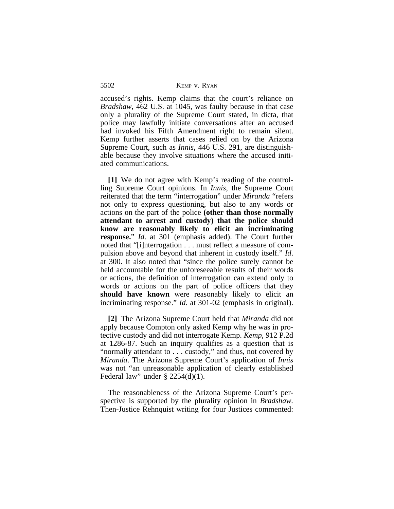5502 KEMP v. RYAN

accused's rights. Kemp claims that the court's reliance on *Bradshaw*, 462 U.S. at 1045, was faulty because in that case only a plurality of the Supreme Court stated, in dicta, that police may lawfully initiate conversations after an accused had invoked his Fifth Amendment right to remain silent. Kemp further asserts that cases relied on by the Arizona Supreme Court, such as *Innis*, 446 U.S. 291, are distinguishable because they involve situations where the accused initiated communications.

**[1]** We do not agree with Kemp's reading of the controlling Supreme Court opinions. In *Innis*, the Supreme Court reiterated that the term "interrogation" under *Miranda* "refers not only to express questioning, but also to any words or actions on the part of the police **(other than those normally attendant to arrest and custody) that the police should know are reasonably likely to elicit an incriminating response.**" *Id*. at 301 (emphasis added). The Court further noted that "[i]nterrogation . . . must reflect a measure of compulsion above and beyond that inherent in custody itself." *Id*. at 300. It also noted that "since the police surely cannot be held accountable for the unforeseeable results of their words or actions, the definition of interrogation can extend only to words or actions on the part of police officers that they **should have known** were reasonably likely to elicit an incriminating response." *Id*. at 301-02 (emphasis in original).

**[2]** The Arizona Supreme Court held that *Miranda* did not apply because Compton only asked Kemp why he was in protective custody and did not interrogate Kemp. *Kemp*, 912 P.2d at 1286-87. Such an inquiry qualifies as a question that is "normally attendant to . . . custody," and thus, not covered by *Miranda*. The Arizona Supreme Court's application of *Innis* was not "an unreasonable application of clearly established Federal law" under  $\S 2254(d)(1)$ .

The reasonableness of the Arizona Supreme Court's perspective is supported by the plurality opinion in *Bradshaw.* Then-Justice Rehnquist writing for four Justices commented: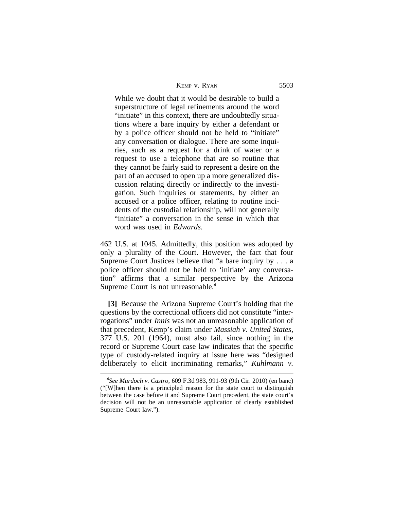| KEMP V. RYAN<br>5503 |  |
|----------------------|--|
|----------------------|--|

While we doubt that it would be desirable to build a superstructure of legal refinements around the word "initiate" in this context, there are undoubtedly situations where a bare inquiry by either a defendant or by a police officer should not be held to "initiate" any conversation or dialogue. There are some inquiries, such as a request for a drink of water or a request to use a telephone that are so routine that they cannot be fairly said to represent a desire on the part of an accused to open up a more generalized discussion relating directly or indirectly to the investigation. Such inquiries or statements, by either an accused or a police officer, relating to routine incidents of the custodial relationship, will not generally "initiate" a conversation in the sense in which that word was used in *Edwards*.

462 U.S. at 1045. Admittedly, this position was adopted by only a plurality of the Court. However, the fact that four Supreme Court Justices believe that "a bare inquiry by . . . a police officer should not be held to 'initiate' any conversation" affirms that a similar perspective by the Arizona Supreme Court is not unreasonable.**<sup>4</sup>**

**[3]** Because the Arizona Supreme Court's holding that the questions by the correctional officers did not constitute "interrogations" under *Innis* was not an unreasonable application of that precedent, Kemp's claim under *Massiah v. United States*, 377 U.S. 201 (1964), must also fail, since nothing in the record or Supreme Court case law indicates that the specific type of custody-related inquiry at issue here was "designed deliberately to elicit incriminating remarks," *Kuhlmann v.*

**<sup>4</sup>** *See Murdoch v. Castro*, 609 F.3d 983, 991-93 (9th Cir. 2010) (en banc) ("[W]hen there is a principled reason for the state court to distinguish between the case before it and Supreme Court precedent, the state court's decision will not be an unreasonable application of clearly established Supreme Court law.").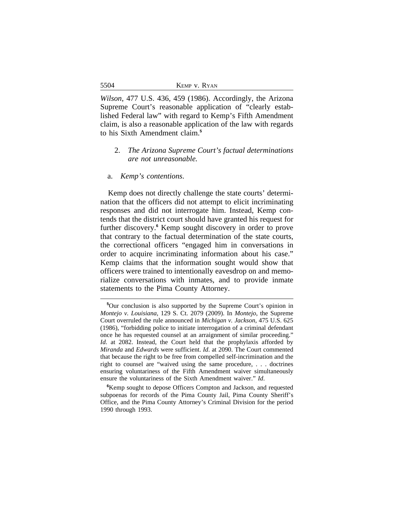*Wilson*, 477 U.S. 436, 459 (1986). Accordingly, the Arizona Supreme Court's reasonable application of "clearly established Federal law" with regard to Kemp's Fifth Amendment claim, is also a reasonable application of the law with regards to his Sixth Amendment claim.**<sup>5</sup>**

## 2. *The Arizona Supreme Court's factual determinations are not unreasonable.*

#### a. *Kemp's contentions*.

Kemp does not directly challenge the state courts' determination that the officers did not attempt to elicit incriminating responses and did not interrogate him. Instead, Kemp contends that the district court should have granted his request for further discovery.<sup>6</sup> Kemp sought discovery in order to prove that contrary to the factual determination of the state courts, the correctional officers "engaged him in conversations in order to acquire incriminating information about his case." Kemp claims that the information sought would show that officers were trained to intentionally eavesdrop on and memorialize conversations with inmates, and to provide inmate statements to the Pima County Attorney.

5504

**<sup>5</sup>**Our conclusion is also supported by the Supreme Court's opinion in *Montejo v. Louisiana*, 129 S. Ct. 2079 (2009). In *Montejo*, the Supreme Court overruled the rule announced in *Michigan v. Jackson*, 475 U.S. 625 (1986), "forbidding police to initiate interrogation of a criminal defendant once he has requested counsel at an arraignment of similar proceeding." *Id*. at 2082. Instead, the Court held that the prophylaxis afforded by *Miranda* and *Edwards* were sufficient. *Id*. at 2090. The Court commented that because the right to be free from compelled self-incrimination and the right to counsel are "waived using the same procedure, . . . doctrines ensuring voluntariness of the Fifth Amendment waiver simultaneously ensure the voluntariness of the Sixth Amendment waiver." *Id*.

**<sup>6</sup>**Kemp sought to depose Officers Compton and Jackson, and requested subpoenas for records of the Pima County Jail, Pima County Sheriff's Office, and the Pima County Attorney's Criminal Division for the period 1990 through 1993.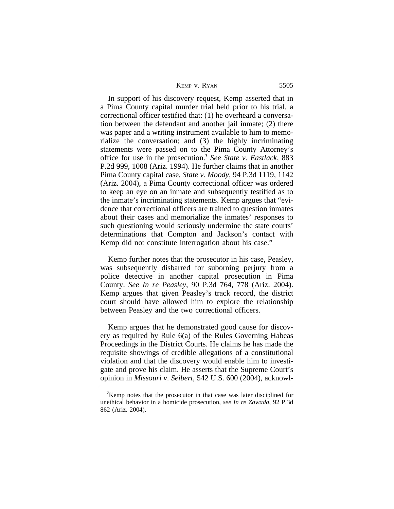| KEMP V. RYAN | 5505 |
|--------------|------|
|--------------|------|

In support of his discovery request, Kemp asserted that in a Pima County capital murder trial held prior to his trial, a correctional officer testified that: (1) he overheard a conversation between the defendant and another jail inmate; (2) there was paper and a writing instrument available to him to memorialize the conversation; and (3) the highly incriminating statements were passed on to the Pima County Attorney's office for use in the prosecution.**<sup>7</sup>** *See State v. Eastlack*, 883 P.2d 999, 1008 (Ariz. 1994). He further claims that in another Pima County capital case, *State v. Moody*, 94 P.3d 1119, 1142 (Ariz. 2004), a Pima County correctional officer was ordered to keep an eye on an inmate and subsequently testified as to the inmate's incriminating statements. Kemp argues that "evidence that correctional officers are trained to question inmates about their cases and memorialize the inmates' responses to such questioning would seriously undermine the state courts' determinations that Compton and Jackson's contact with Kemp did not constitute interrogation about his case."

Kemp further notes that the prosecutor in his case, Peasley, was subsequently disbarred for suborning perjury from a police detective in another capital prosecution in Pima County. *See In re Peasley*, 90 P.3d 764, 778 (Ariz. 2004). Kemp argues that given Peasley's track record, the district court should have allowed him to explore the relationship between Peasley and the two correctional officers.

Kemp argues that he demonstrated good cause for discovery as required by Rule 6(a) of the Rules Governing Habeas Proceedings in the District Courts. He claims he has made the requisite showings of credible allegations of a constitutional violation and that the discovery would enable him to investigate and prove his claim. He asserts that the Supreme Court's opinion in *Missouri v*. *Seibert*, 542 U.S. 600 (2004), acknowl-

**<sup>7</sup>**Kemp notes that the prosecutor in that case was later disciplined for unethical behavior in a homicide prosecution, *see In re Zawada*, 92 P.3d 862 (Ariz. 2004).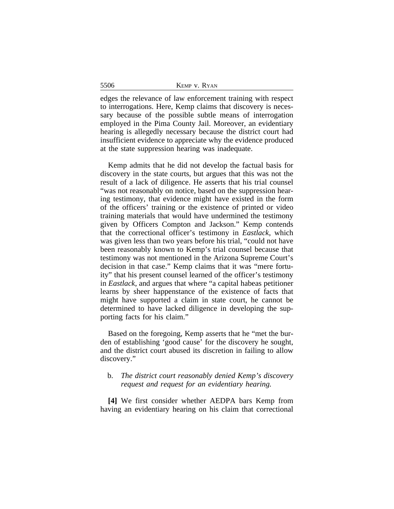|--|

edges the relevance of law enforcement training with respect to interrogations. Here, Kemp claims that discovery is necessary because of the possible subtle means of interrogation employed in the Pima County Jail. Moreover, an evidentiary hearing is allegedly necessary because the district court had insufficient evidence to appreciate why the evidence produced at the state suppression hearing was inadequate.

5506

Kemp admits that he did not develop the factual basis for discovery in the state courts, but argues that this was not the result of a lack of diligence. He asserts that his trial counsel "was not reasonably on notice, based on the suppression hearing testimony, that evidence might have existed in the form of the officers' training or the existence of printed or video training materials that would have undermined the testimony given by Officers Compton and Jackson." Kemp contends that the correctional officer's testimony in *Eastlack*, which was given less than two years before his trial, "could not have been reasonably known to Kemp's trial counsel because that testimony was not mentioned in the Arizona Supreme Court's decision in that case." Kemp claims that it was "mere fortuity" that his present counsel learned of the officer's testimony in *Eastlack*, and argues that where "a capital habeas petitioner learns by sheer happenstance of the existence of facts that might have supported a claim in state court, he cannot be determined to have lacked diligence in developing the supporting facts for his claim."

Based on the foregoing, Kemp asserts that he "met the burden of establishing 'good cause' for the discovery he sought, and the district court abused its discretion in failing to allow discovery."

## b. *The district court reasonably denied Kemp's discovery request and request for an evidentiary hearing.*

**[4]** We first consider whether AEDPA bars Kemp from having an evidentiary hearing on his claim that correctional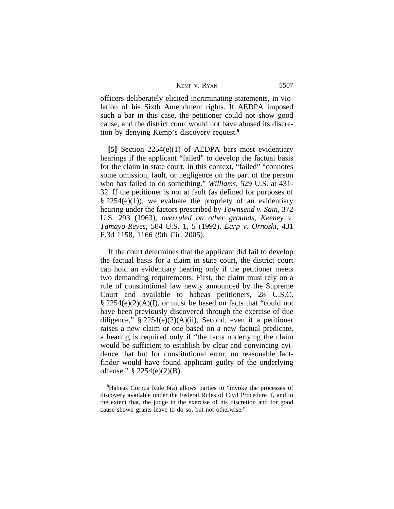| 5507<br>Kemp v. Ryan |  |
|----------------------|--|
|----------------------|--|

officers deliberately elicited incriminating statements, in violation of his Sixth Amendment rights. If AEDPA imposed such a bar in this case, the petitioner could not show good cause, and the district court would not have abused its discretion by denying Kemp's discovery request.**<sup>8</sup>**

**[5]** Section 2254(e)(1) of AEDPA bars most evidentiary hearings if the applicant "failed" to develop the factual basis for the claim in state court. In this context, "failed" "connotes some omission, fault, or negligence on the part of the person who has failed to do something." *Williams*, 529 U.S. at 431- 32. If the petitioner is not at fault (as defined for purposes of  $\S 2254(e)(1)$ , we evaluate the propriety of an evidentiary hearing under the factors prescribed by *Townsend v. Sain*, 372 U.S. 293 (1963), *overruled on other grounds*, *Keeney v. Tamayo-Reyes*, 504 U.S. 1, 5 (1992). *Earp v. Ornoski*, 431 F.3d 1158, 1166 (9th Cir. 2005).

If the court determines that the applicant did fail to develop the factual basis for a claim in state court, the district court can hold an evidentiary hearing only if the petitioner meets two demanding requirements: First, the claim must rely on a rule of constitutional law newly announced by the Supreme Court and available to habeas petitioners, 28 U.S.C.  $\S 2254(e)(2)(A)(I)$ , or must be based on facts that "could not have been previously discovered through the exercise of due diligence,"  $\S 2254(e)(2)(A)(ii)$ . Second, even if a petitioner raises a new claim or one based on a new factual predicate, a hearing is required only if "the facts underlying the claim would be sufficient to establish by clear and convincing evidence that but for constitutional error, no reasonable factfinder would have found applicant guilty of the underlying offense." § 2254(e)(2)(B).

**<sup>8</sup>**Habeas Corpus Rule 6(a) allows parties to "invoke the processes of discovery available under the Federal Rules of Civil Procedure if, and to the extent that, the judge in the exercise of his discretion and for good cause shown grants leave to do so, but not otherwise."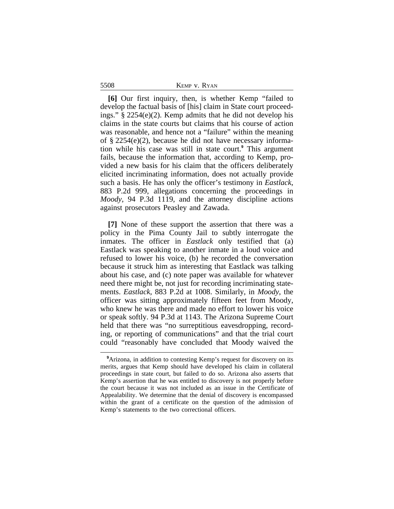5508 KEMP v. RYAN

**[6]** Our first inquiry, then, is whether Kemp "failed to develop the factual basis of [his] claim in State court proceedings." § 2254(e)(2). Kemp admits that he did not develop his claims in the state courts but claims that his course of action was reasonable, and hence not a "failure" within the meaning of § 2254(e)(2), because he did not have necessary information while his case was still in state court.**<sup>9</sup>** This argument fails, because the information that, according to Kemp, provided a new basis for his claim that the officers deliberately elicited incriminating information, does not actually provide such a basis. He has only the officer's testimony in *Eastlack*, 883 P.2d 999, allegations concerning the proceedings in *Moody*, 94 P.3d 1119, and the attorney discipline actions against prosecutors Peasley and Zawada.

**[7]** None of these support the assertion that there was a policy in the Pima County Jail to subtly interrogate the inmates. The officer in *Eastlack* only testified that (a) Eastlack was speaking to another inmate in a loud voice and refused to lower his voice, (b) he recorded the conversation because it struck him as interesting that Eastlack was talking about his case, and (c) note paper was available for whatever need there might be, not just for recording incriminating statements. *Eastlack*, 883 P.2d at 1008. Similarly, in *Moody*, the officer was sitting approximately fifteen feet from Moody, who knew he was there and made no effort to lower his voice or speak softly. 94 P.3d at 1143. The Arizona Supreme Court held that there was "no surreptitious eavesdropping, recording, or reporting of communications" and that the trial court could "reasonably have concluded that Moody waived the

<sup>&</sup>lt;sup>9</sup>Arizona, in addition to contesting Kemp's request for discovery on its merits, argues that Kemp should have developed his claim in collateral proceedings in state court, but failed to do so. Arizona also asserts that Kemp's assertion that he was entitled to discovery is not properly before the court because it was not included as an issue in the Certificate of Appealability. We determine that the denial of discovery is encompassed within the grant of a certificate on the question of the admission of Kemp's statements to the two correctional officers.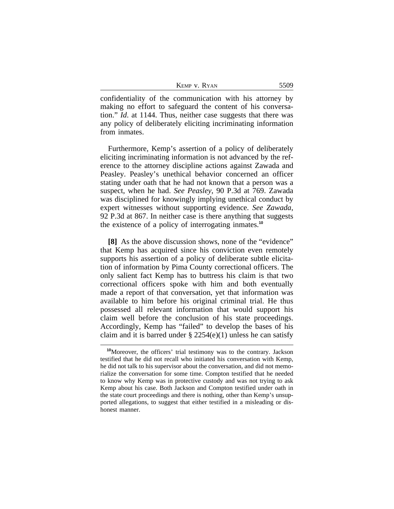| Kemp v. Ryan |  |  |
|--------------|--|--|
|--------------|--|--|

confidentiality of the communication with his attorney by making no effort to safeguard the content of his conversation." *Id*. at 1144. Thus, neither case suggests that there was any policy of deliberately eliciting incriminating information from inmates.

Furthermore, Kemp's assertion of a policy of deliberately eliciting incriminating information is not advanced by the reference to the attorney discipline actions against Zawada and Peasley. Peasley's unethical behavior concerned an officer stating under oath that he had not known that a person was a suspect, when he had. *See Peasley*, 90 P.3d at 769. Zawada was disciplined for knowingly implying unethical conduct by expert witnesses without supporting evidence. *See Zawada*, 92 P.3d at 867. In neither case is there anything that suggests the existence of a policy of interrogating inmates.**<sup>10</sup>**

**[8]** As the above discussion shows, none of the "evidence" that Kemp has acquired since his conviction even remotely supports his assertion of a policy of deliberate subtle elicitation of information by Pima County correctional officers. The only salient fact Kemp has to buttress his claim is that two correctional officers spoke with him and both eventually made a report of that conversation, yet that information was available to him before his original criminal trial. He thus possessed all relevant information that would support his claim well before the conclusion of his state proceedings. Accordingly, Kemp has "failed" to develop the bases of his claim and it is barred under  $\S 2254(e)(1)$  unless he can satisfy

**<sup>10</sup>**Moreover, the officers' trial testimony was to the contrary. Jackson testified that he did not recall who initiated his conversation with Kemp, he did not talk to his supervisor about the conversation, and did not memorialize the conversation for some time. Compton testified that he needed to know why Kemp was in protective custody and was not trying to ask Kemp about his case. Both Jackson and Compton testified under oath in the state court proceedings and there is nothing, other than Kemp's unsupported allegations, to suggest that either testified in a misleading or dishonest manner.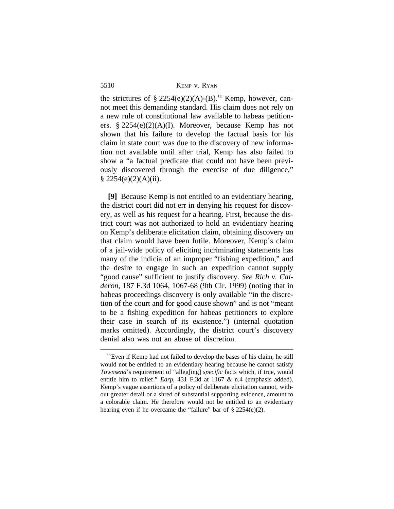the strictures of §  $2254(e)(2)(A)-(B).$ <sup>11</sup> Kemp, however, cannot meet this demanding standard. His claim does not rely on a new rule of constitutional law available to habeas petitioners. § 2254(e)(2)(A)(I). Moreover, because Kemp has not shown that his failure to develop the factual basis for his claim in state court was due to the discovery of new information not available until after trial, Kemp has also failed to show a "a factual predicate that could not have been previously discovered through the exercise of due diligence,"  $§ 2254(e)(2)(A)(ii).$ 

**[9]** Because Kemp is not entitled to an evidentiary hearing, the district court did not err in denying his request for discovery, as well as his request for a hearing. First, because the district court was not authorized to hold an evidentiary hearing on Kemp's deliberate elicitation claim, obtaining discovery on that claim would have been futile. Moreover, Kemp's claim of a jail-wide policy of eliciting incriminating statements has many of the indicia of an improper "fishing expedition," and the desire to engage in such an expedition cannot supply "good cause" sufficient to justify discovery. *See Rich v. Calderon*, 187 F.3d 1064, 1067-68 (9th Cir. 1999) (noting that in habeas proceedings discovery is only available "in the discretion of the court and for good cause shown" and is not "meant to be a fishing expedition for habeas petitioners to explore their case in search of its existence.") (internal quotation marks omitted). Accordingly, the district court's discovery denial also was not an abuse of discretion.

5510

**<sup>11</sup>**Even if Kemp had not failed to develop the bases of his claim, he still would not be entitled to an evidentiary hearing because he cannot satisfy *Townsend*'s requirement of "alleg[ing] *specific* facts which, if true, would entitle him to relief." *Earp*, 431 F.3d at 1167 & n.4 (emphasis added). Kemp's vague assertions of a policy of deliberate elicitation cannot, without greater detail or a shred of substantial supporting evidence, amount to a colorable claim. He therefore would not be entitled to an evidentiary hearing even if he overcame the "failure" bar of § 2254(e)(2).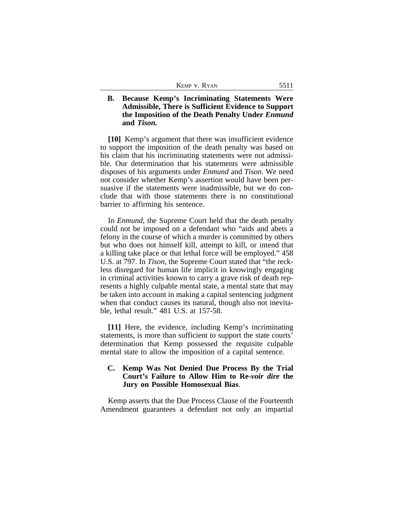| KEMP V. RYAN | 551 |
|--------------|-----|
|--------------|-----|

## **B. Because Kemp's Incriminating Statements Were Admissible, There is Sufficient Evidence to Support the Imposition of the Death Penalty Under** *Enmund* **and** *Tison.*

**[10]** Kemp's argument that there was insufficient evidence to support the imposition of the death penalty was based on his claim that his incriminating statements were not admissible. Our determination that his statements were admissible disposes of his arguments under *Enmund* and *Tison*. We need not consider whether Kemp's assertion would have been persuasive if the statements were inadmissible, but we do conclude that with those statements there is no constitutional barrier to affirming his sentence.

In *Enmund*, the Supreme Court held that the death penalty could not be imposed on a defendant who "aids and abets a felony in the course of which a murder is committed by others but who does not himself kill, attempt to kill, or intend that a killing take place or that lethal force will be employed." 458 U.S. at 797. In *Tison*, the Supreme Court stated that "the reckless disregard for human life implicit in knowingly engaging in criminal activities known to carry a grave risk of death represents a highly culpable mental state, a mental state that may be taken into account in making a capital sentencing judgment when that conduct causes its natural, though also not inevitable, lethal result." 481 U.S. at 157-58.

**[11]** Here, the evidence, including Kemp's incriminating statements, is more than sufficient to support the state courts' determination that Kemp possessed the requisite culpable mental state to allow the imposition of a capital sentence.

## **C. Kemp Was Not Denied Due Process By the Trial Court's Failure to Allow Him to Re-***voir dire* **the Jury on Possible Homosexual Bias**.

Kemp asserts that the Due Process Clause of the Fourteenth Amendment guarantees a defendant not only an impartial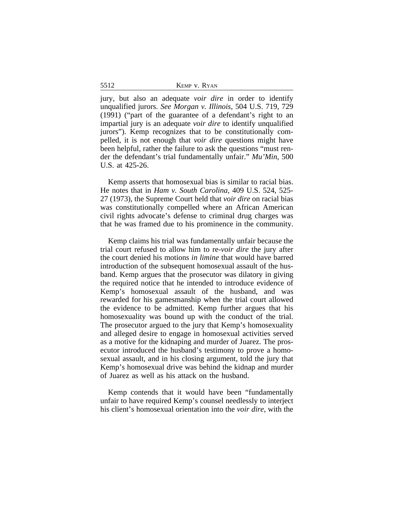|  |  | KEMP V. RYAN |
|--|--|--------------|
|--|--|--------------|

jury, but also an adequate *voir dire* in order to identify unqualified jurors. *See Morgan v. Illinois*, 504 U.S. 719, 729 (1991) ("part of the guarantee of a defendant's right to an impartial jury is an adequate *voir dire* to identify unqualified jurors"). Kemp recognizes that to be constitutionally compelled, it is not enough that *voir dire* questions might have been helpful, rather the failure to ask the questions "must render the defendant's trial fundamentally unfair." *Mu'Min*, 500 U.S. at 425-26.

Kemp asserts that homosexual bias is similar to racial bias. He notes that in *Ham v. South Carolina*, 409 U.S. 524, 525- 27 (1973), the Supreme Court held that *voir dire* on racial bias was constitutionally compelled where an African American civil rights advocate's defense to criminal drug charges was that he was framed due to his prominence in the community.

Kemp claims his trial was fundamentally unfair because the trial court refused to allow him to re-*voir dire* the jury after the court denied his motions *in limine* that would have barred introduction of the subsequent homosexual assault of the husband. Kemp argues that the prosecutor was dilatory in giving the required notice that he intended to introduce evidence of Kemp's homosexual assault of the husband, and was rewarded for his gamesmanship when the trial court allowed the evidence to be admitted. Kemp further argues that his homosexuality was bound up with the conduct of the trial. The prosecutor argued to the jury that Kemp's homosexuality and alleged desire to engage in homosexual activities served as a motive for the kidnaping and murder of Juarez. The prosecutor introduced the husband's testimony to prove a homosexual assault, and in his closing argument, told the jury that Kemp's homosexual drive was behind the kidnap and murder of Juarez as well as his attack on the husband.

Kemp contends that it would have been "fundamentally unfair to have required Kemp's counsel needlessly to interject his client's homosexual orientation into the *voir dire*, with the

5512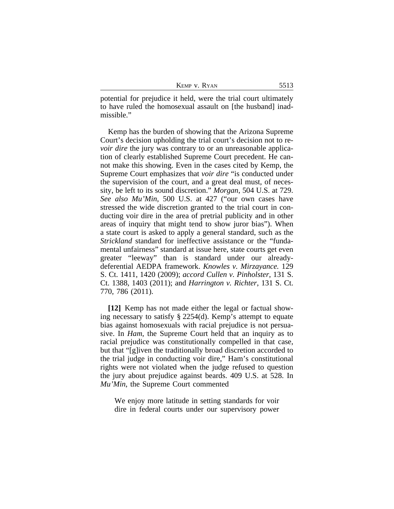| Kemp v. Ryan |  |  |
|--------------|--|--|
|--------------|--|--|

potential for prejudice it held, were the trial court ultimately to have ruled the homosexual assault on [the husband] inadmissible."

Kemp has the burden of showing that the Arizona Supreme Court's decision upholding the trial court's decision not to re*voir dire* the jury was contrary to or an unreasonable application of clearly established Supreme Court precedent. He cannot make this showing. Even in the cases cited by Kemp, the Supreme Court emphasizes that *voir dire* "is conducted under the supervision of the court, and a great deal must, of necessity, be left to its sound discretion." *Morgan*, 504 U.S. at 729. *See also Mu'Min*, 500 U.S. at 427 ("our own cases have stressed the wide discretion granted to the trial court in conducting voir dire in the area of pretrial publicity and in other areas of inquiry that might tend to show juror bias"). When a state court is asked to apply a general standard, such as the *Strickland* standard for ineffective assistance or the "fundamental unfairness" standard at issue here, state courts get even greater "leeway" than is standard under our alreadydeferential AEDPA framework. *Knowles v. Mirzayance.* 129 S. Ct. 1411, 1420 (2009); *accord Cullen v. Pinholster*, 131 S. Ct. 1388, 1403 (2011); and *Harrington v. Richter*, 131 S. Ct. 770, 786 (2011).

**[12]** Kemp has not made either the legal or factual showing necessary to satisfy § 2254(d). Kemp's attempt to equate bias against homosexuals with racial prejudice is not persuasive. In *Ham*, the Supreme Court held that an inquiry as to racial prejudice was constitutionally compelled in that case, but that "[g]iven the traditionally broad discretion accorded to the trial judge in conducting voir dire," Ham's constitutional rights were not violated when the judge refused to question the jury about prejudice against beards. 409 U.S. at 528. In *Mu'Min*, the Supreme Court commented

We enjoy more latitude in setting standards for voir dire in federal courts under our supervisory power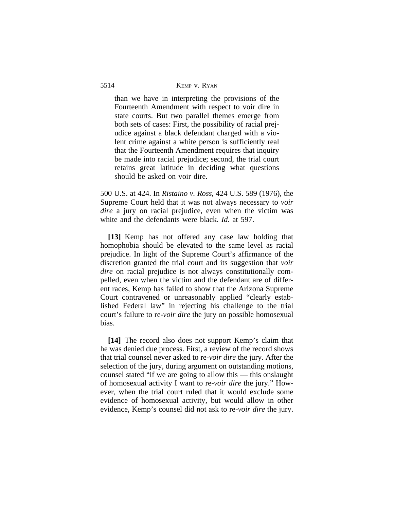than we have in interpreting the provisions of the Fourteenth Amendment with respect to voir dire in state courts. But two parallel themes emerge from both sets of cases: First, the possibility of racial prejudice against a black defendant charged with a violent crime against a white person is sufficiently real that the Fourteenth Amendment requires that inquiry be made into racial prejudice; second, the trial court retains great latitude in deciding what questions should be asked on voir dire.

500 U.S. at 424. In *Ristaino v. Ross*, 424 U.S. 589 (1976), the Supreme Court held that it was not always necessary to *voir dire* a jury on racial prejudice, even when the victim was white and the defendants were black. *Id*. at 597.

**[13]** Kemp has not offered any case law holding that homophobia should be elevated to the same level as racial prejudice. In light of the Supreme Court's affirmance of the discretion granted the trial court and its suggestion that *voir dire* on racial prejudice is not always constitutionally compelled, even when the victim and the defendant are of different races, Kemp has failed to show that the Arizona Supreme Court contravened or unreasonably applied "clearly established Federal law" in rejecting his challenge to the trial court's failure to re-*voir dire* the jury on possible homosexual bias.

**[14]** The record also does not support Kemp's claim that he was denied due process. First, a review of the record shows that trial counsel never asked to re-*voir dire* the jury. After the selection of the jury, during argument on outstanding motions, counsel stated "if we are going to allow this — this onslaught of homosexual activity I want to re-*voir dire* the jury." However, when the trial court ruled that it would exclude some evidence of homosexual activity, but would allow in other evidence, Kemp's counsel did not ask to re-*voir dire* the jury.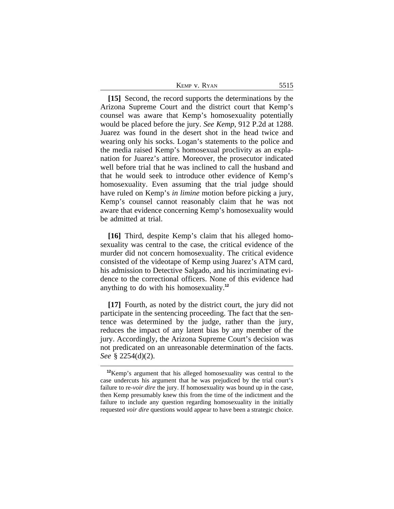| KEMP V. RYAN | 5515 |
|--------------|------|
|--------------|------|

**[15]** Second, the record supports the determinations by the Arizona Supreme Court and the district court that Kemp's counsel was aware that Kemp's homosexuality potentially would be placed before the jury. *See Kemp*, 912 P.2d at 1288. Juarez was found in the desert shot in the head twice and wearing only his socks. Logan's statements to the police and the media raised Kemp's homosexual proclivity as an explanation for Juarez's attire. Moreover, the prosecutor indicated well before trial that he was inclined to call the husband and that he would seek to introduce other evidence of Kemp's homosexuality. Even assuming that the trial judge should have ruled on Kemp's *in limine* motion before picking a jury, Kemp's counsel cannot reasonably claim that he was not aware that evidence concerning Kemp's homosexuality would be admitted at trial.

**[16]** Third, despite Kemp's claim that his alleged homosexuality was central to the case, the critical evidence of the murder did not concern homosexuality. The critical evidence consisted of the videotape of Kemp using Juarez's ATM card, his admission to Detective Salgado, and his incriminating evidence to the correctional officers. None of this evidence had anything to do with his homosexuality.**<sup>12</sup>**

**[17]** Fourth, as noted by the district court, the jury did not participate in the sentencing proceeding. The fact that the sentence was determined by the judge, rather than the jury, reduces the impact of any latent bias by any member of the jury. Accordingly, the Arizona Supreme Court's decision was not predicated on an unreasonable determination of the facts. *See* § 2254(d)(2).

**<sup>12</sup>**Kemp's argument that his alleged homosexuality was central to the case undercuts his argument that he was prejudiced by the trial court's failure to re-*voir dire* the jury. If homosexuality was bound up in the case, then Kemp presumably knew this from the time of the indictment and the failure to include any question regarding homosexuality in the initially requested *voir dire* questions would appear to have been a strategic choice.